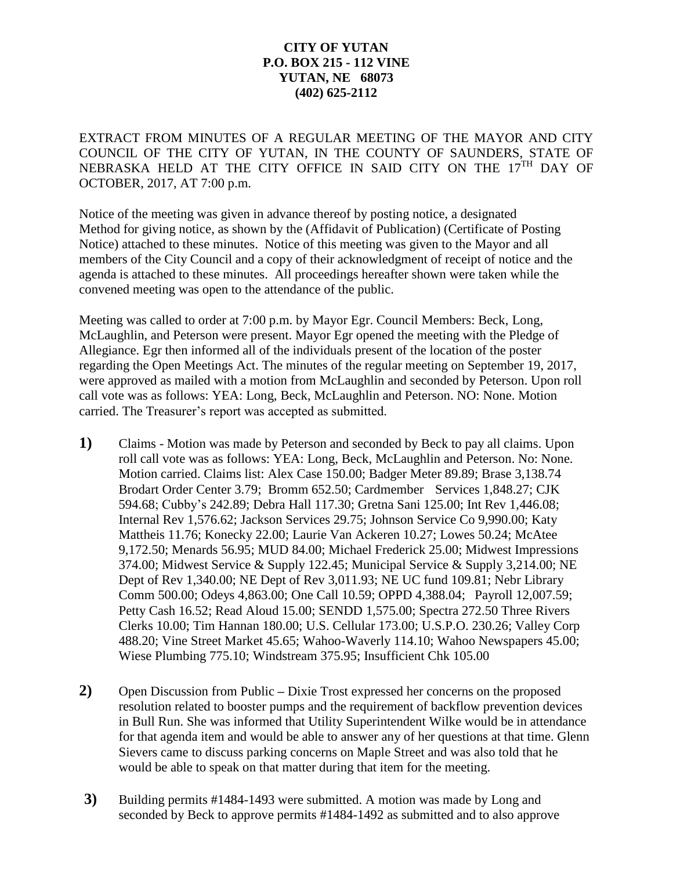## **CITY OF YUTAN P.O. BOX 215 - 112 VINE YUTAN, NE 68073 (402) 625-2112**

EXTRACT FROM MINUTES OF A REGULAR MEETING OF THE MAYOR AND CITY COUNCIL OF THE CITY OF YUTAN, IN THE COUNTY OF SAUNDERS, STATE OF NEBRASKA HELD AT THE CITY OFFICE IN SAID CITY ON THE 17<sup>TH</sup> DAY OF OCTOBER, 2017, AT 7:00 p.m.

Notice of the meeting was given in advance thereof by posting notice, a designated Method for giving notice, as shown by the (Affidavit of Publication) (Certificate of Posting Notice) attached to these minutes. Notice of this meeting was given to the Mayor and all members of the City Council and a copy of their acknowledgment of receipt of notice and the agenda is attached to these minutes. All proceedings hereafter shown were taken while the convened meeting was open to the attendance of the public.

Meeting was called to order at 7:00 p.m. by Mayor Egr. Council Members: Beck, Long, McLaughlin, and Peterson were present. Mayor Egr opened the meeting with the Pledge of Allegiance. Egr then informed all of the individuals present of the location of the poster regarding the Open Meetings Act. The minutes of the regular meeting on September 19, 2017, were approved as mailed with a motion from McLaughlin and seconded by Peterson. Upon roll call vote was as follows: YEA: Long, Beck, McLaughlin and Peterson. NO: None. Motion carried. The Treasurer's report was accepted as submitted.

- **1)** Claims Motion was made by Peterson and seconded by Beck to pay all claims. Upon roll call vote was as follows: YEA: Long, Beck, McLaughlin and Peterson. No: None. Motion carried. Claims list: Alex Case 150.00; Badger Meter 89.89; Brase 3,138.74 Brodart Order Center 3.79; Bromm 652.50; Cardmember Services 1,848.27; CJK 594.68; Cubby's 242.89; Debra Hall 117.30; Gretna Sani 125.00; Int Rev 1,446.08; Internal Rev 1,576.62; Jackson Services 29.75; Johnson Service Co 9,990.00; Katy Mattheis 11.76; Konecky 22.00; Laurie Van Ackeren 10.27; Lowes 50.24; McAtee 9,172.50; Menards 56.95; MUD 84.00; Michael Frederick 25.00; Midwest Impressions 374.00; Midwest Service & Supply 122.45; Municipal Service & Supply 3,214.00; NE Dept of Rev 1,340.00; NE Dept of Rev 3,011.93; NE UC fund 109.81; Nebr Library Comm 500.00; Odeys 4,863.00; One Call 10.59; OPPD 4,388.04; Payroll 12,007.59; Petty Cash 16.52; Read Aloud 15.00; SENDD 1,575.00; Spectra 272.50 Three Rivers Clerks 10.00; Tim Hannan 180.00; U.S. Cellular 173.00; U.S.P.O. 230.26; Valley Corp 488.20; Vine Street Market 45.65; Wahoo-Waverly 114.10; Wahoo Newspapers 45.00; Wiese Plumbing 775.10; Windstream 375.95; Insufficient Chk 105.00
- **2)** Open Discussion from Public **–** Dixie Trost expressed her concerns on the proposed resolution related to booster pumps and the requirement of backflow prevention devices in Bull Run. She was informed that Utility Superintendent Wilke would be in attendance for that agenda item and would be able to answer any of her questions at that time. Glenn Sievers came to discuss parking concerns on Maple Street and was also told that he would be able to speak on that matter during that item for the meeting.
- **3)** Building permits #1484-1493 were submitted. A motion was made by Long and seconded by Beck to approve permits #1484-1492 as submitted and to also approve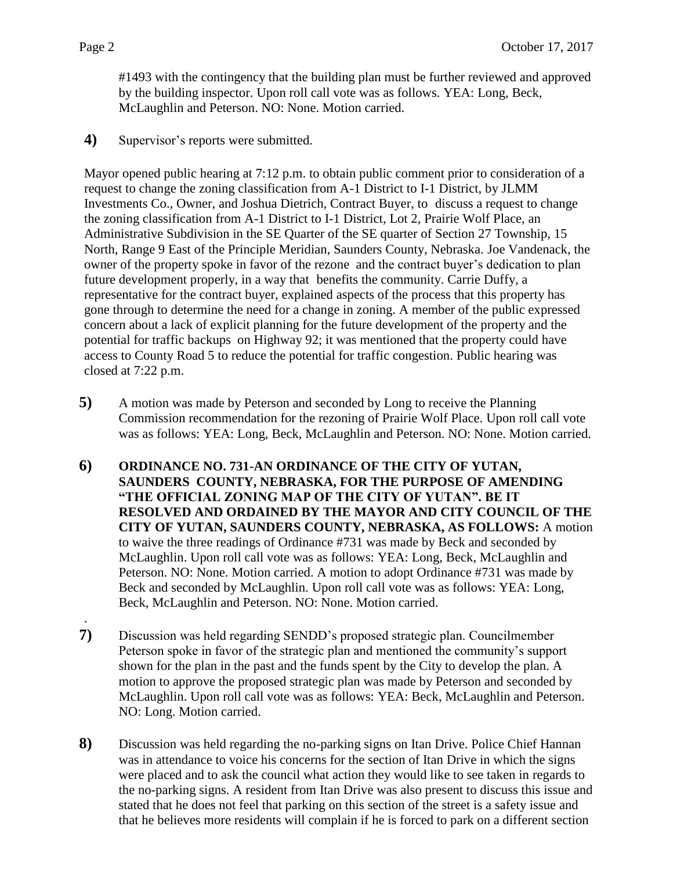.

#1493 with the contingency that the building plan must be further reviewed and approved by the building inspector. Upon roll call vote was as follows. YEA: Long, Beck, McLaughlin and Peterson. NO: None. Motion carried.

**4)** Supervisor's reports were submitted.

Mayor opened public hearing at 7:12 p.m. to obtain public comment prior to consideration of a request to change the zoning classification from A-1 District to I-1 District, by JLMM Investments Co., Owner, and Joshua Dietrich, Contract Buyer, to discuss a request to change the zoning classification from A-1 District to I-1 District, Lot 2, Prairie Wolf Place, an Administrative Subdivision in the SE Quarter of the SE quarter of Section 27 Township, 15 North, Range 9 East of the Principle Meridian, Saunders County, Nebraska. Joe Vandenack, the owner of the property spoke in favor of the rezone and the contract buyer's dedication to plan future development properly, in a way that benefits the community. Carrie Duffy, a representative for the contract buyer, explained aspects of the process that this property has gone through to determine the need for a change in zoning. A member of the public expressed concern about a lack of explicit planning for the future development of the property and the potential for traffic backups on Highway 92; it was mentioned that the property could have access to County Road 5 to reduce the potential for traffic congestion. Public hearing was closed at 7:22 p.m.

- **5)** A motion was made by Peterson and seconded by Long to receive the Planning Commission recommendation for the rezoning of Prairie Wolf Place. Upon roll call vote was as follows: YEA: Long, Beck, McLaughlin and Peterson. NO: None. Motion carried.
- **6) ORDINANCE NO. 731-AN ORDINANCE OF THE CITY OF YUTAN, SAUNDERS COUNTY, NEBRASKA, FOR THE PURPOSE OF AMENDING "THE OFFICIAL ZONING MAP OF THE CITY OF YUTAN". BE IT RESOLVED AND ORDAINED BY THE MAYOR AND CITY COUNCIL OF THE CITY OF YUTAN, SAUNDERS COUNTY, NEBRASKA, AS FOLLOWS:** A motion to waive the three readings of Ordinance #731 was made by Beck and seconded by McLaughlin. Upon roll call vote was as follows: YEA: Long, Beck, McLaughlin and Peterson. NO: None. Motion carried. A motion to adopt Ordinance #731 was made by Beck and seconded by McLaughlin. Upon roll call vote was as follows: YEA: Long, Beck, McLaughlin and Peterson. NO: None. Motion carried.
- **7)** Discussion was held regarding SENDD's proposed strategic plan. Councilmember Peterson spoke in favor of the strategic plan and mentioned the community's support shown for the plan in the past and the funds spent by the City to develop the plan. A motion to approve the proposed strategic plan was made by Peterson and seconded by McLaughlin. Upon roll call vote was as follows: YEA: Beck, McLaughlin and Peterson. NO: Long. Motion carried.
- **8)** Discussion was held regarding the no-parking signs on Itan Drive. Police Chief Hannan was in attendance to voice his concerns for the section of Itan Drive in which the signs were placed and to ask the council what action they would like to see taken in regards to the no-parking signs. A resident from Itan Drive was also present to discuss this issue and stated that he does not feel that parking on this section of the street is a safety issue and that he believes more residents will complain if he is forced to park on a different section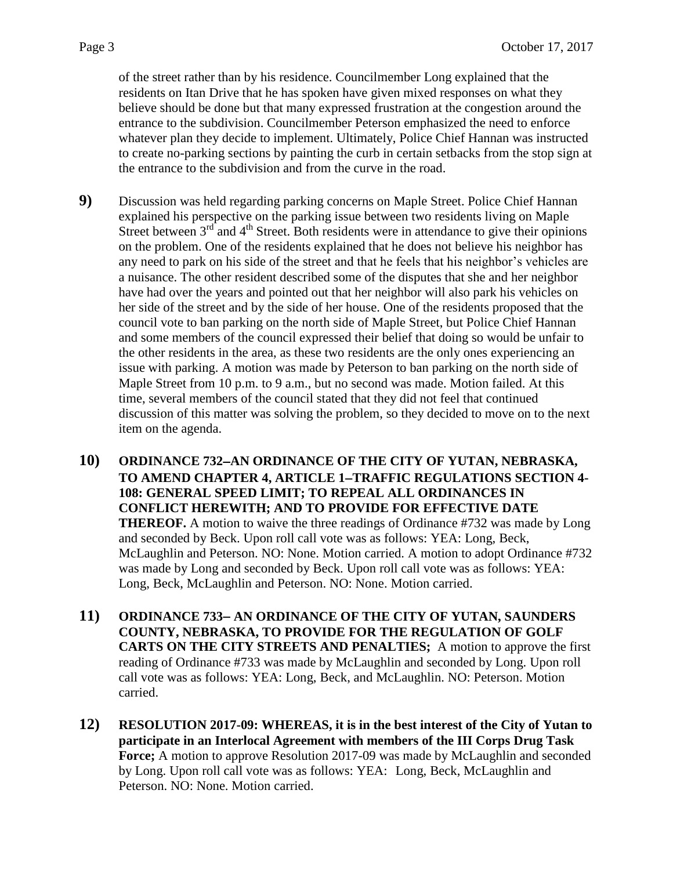of the street rather than by his residence. Councilmember Long explained that the residents on Itan Drive that he has spoken have given mixed responses on what they believe should be done but that many expressed frustration at the congestion around the entrance to the subdivision. Councilmember Peterson emphasized the need to enforce whatever plan they decide to implement. Ultimately, Police Chief Hannan was instructed to create no-parking sections by painting the curb in certain setbacks from the stop sign at the entrance to the subdivision and from the curve in the road.

- **9)** Discussion was held regarding parking concerns on Maple Street. Police Chief Hannan explained his perspective on the parking issue between two residents living on Maple Street between  $3<sup>rd</sup>$  and  $4<sup>th</sup>$  Street. Both residents were in attendance to give their opinions on the problem. One of the residents explained that he does not believe his neighbor has any need to park on his side of the street and that he feels that his neighbor's vehicles are a nuisance. The other resident described some of the disputes that she and her neighbor have had over the years and pointed out that her neighbor will also park his vehicles on her side of the street and by the side of her house. One of the residents proposed that the council vote to ban parking on the north side of Maple Street, but Police Chief Hannan and some members of the council expressed their belief that doing so would be unfair to the other residents in the area, as these two residents are the only ones experiencing an issue with parking. A motion was made by Peterson to ban parking on the north side of Maple Street from 10 p.m. to 9 a.m., but no second was made. Motion failed. At this time, several members of the council stated that they did not feel that continued discussion of this matter was solving the problem, so they decided to move on to the next item on the agenda.
- **10) ORDINANCE 732AN ORDINANCE OF THE CITY OF YUTAN, NEBRASKA, TO AMEND CHAPTER 4, ARTICLE 1TRAFFIC REGULATIONS SECTION 4- 108: GENERAL SPEED LIMIT; TO REPEAL ALL ORDINANCES IN CONFLICT HEREWITH; AND TO PROVIDE FOR EFFECTIVE DATE THEREOF.** A motion to waive the three readings of Ordinance #732 was made by Long and seconded by Beck. Upon roll call vote was as follows: YEA: Long, Beck, McLaughlin and Peterson. NO: None. Motion carried. A motion to adopt Ordinance #732 was made by Long and seconded by Beck. Upon roll call vote was as follows: YEA: Long, Beck, McLaughlin and Peterson. NO: None. Motion carried.
- **11) ORDINANCE 733 AN ORDINANCE OF THE CITY OF YUTAN, SAUNDERS COUNTY, NEBRASKA, TO PROVIDE FOR THE REGULATION OF GOLF CARTS ON THE CITY STREETS AND PENALTIES;** A motion to approve the first reading of Ordinance #733 was made by McLaughlin and seconded by Long. Upon roll call vote was as follows: YEA: Long, Beck, and McLaughlin. NO: Peterson. Motion carried.
- **12) RESOLUTION 2017-09: WHEREAS, it is in the best interest of the City of Yutan to participate in an Interlocal Agreement with members of the III Corps Drug Task Force;** A motion to approve Resolution 2017-09 was made by McLaughlin and seconded by Long. Upon roll call vote was as follows: YEA: Long, Beck, McLaughlin and Peterson. NO: None. Motion carried.